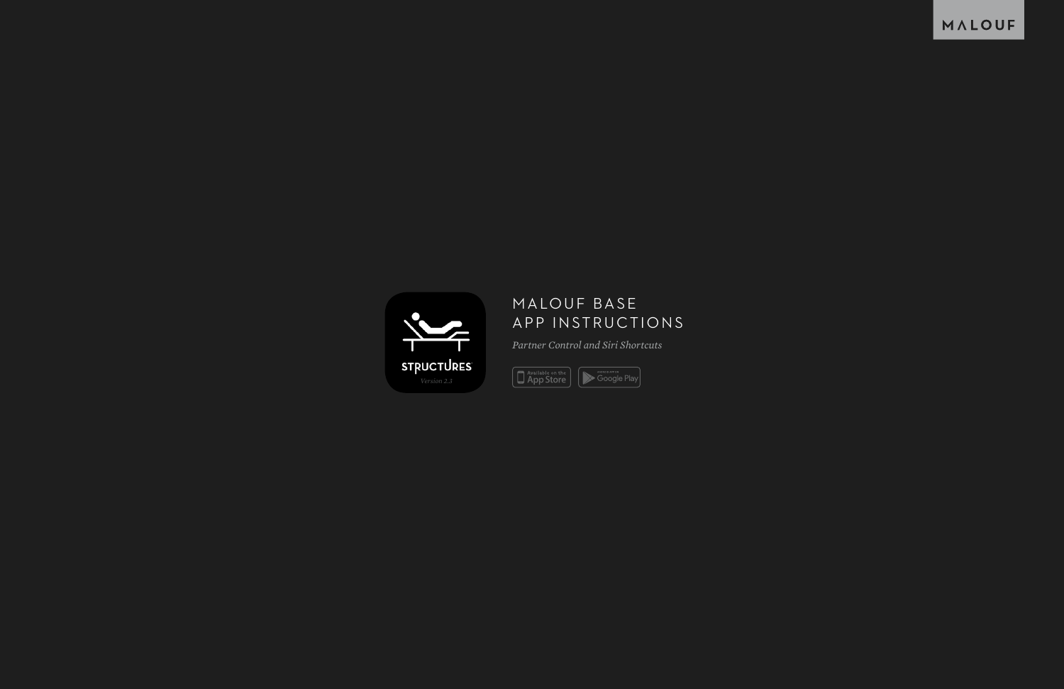## MALOUF BASE APP INSTRUCTIONS

*Partner Control and Siri Shortcuts*

App Store **Soogle Play** 



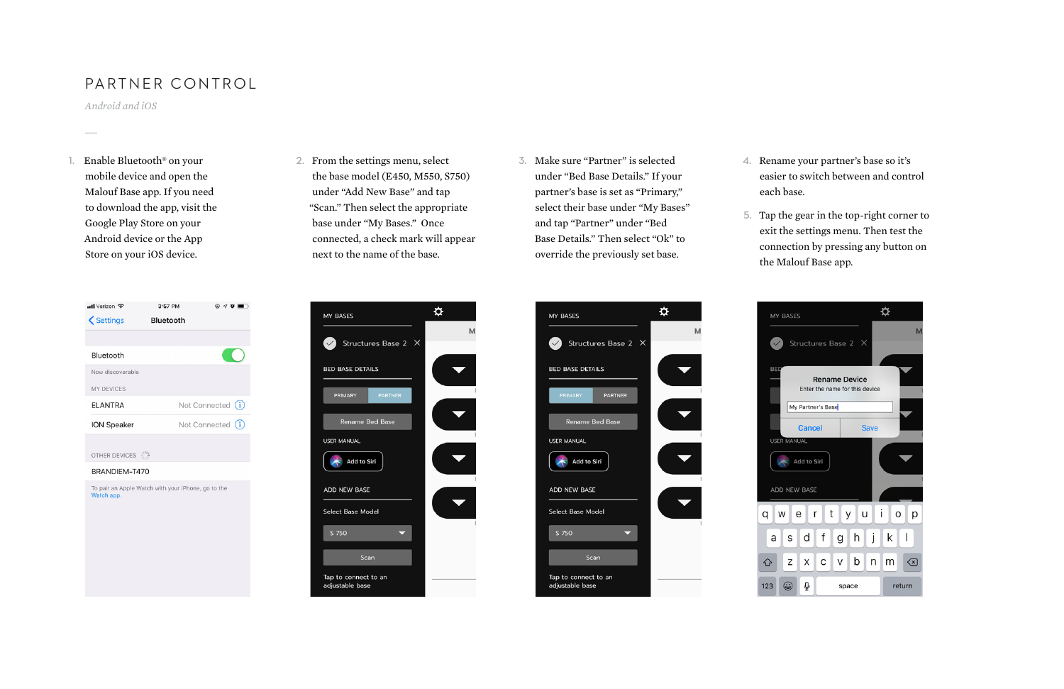1. Enable Bluetooth<sup>®</sup> on your mobile device and open the Malouf Base app. If you need to download the app, visit the Google Play Store on your Android device or the App Store on your iOS device.



## PARTNER CONTROL

*Android and iOS*

2. From the settings menu, select the base model (E450, M550, S750) under "Add New Base" and tap "Scan." Then select the appropriate base under "My Bases." Once connected, a check mark will appear next to the name of the base.



- 3. Make sure "Partner" is selected under "Bed Base Details." If your partner's base is set as "Primary," select their base under "My Bases" and tap "Partner" under "Bed Base Details." Then select "Ok" to override the previously set base.
- 
- 



4. Rename your partner's base so it's easier to switch between and control each base.

5. Tap the gear in the top-right corner to exit the settings menu. Then test the connection by pressing any button on the Malouf Base app.